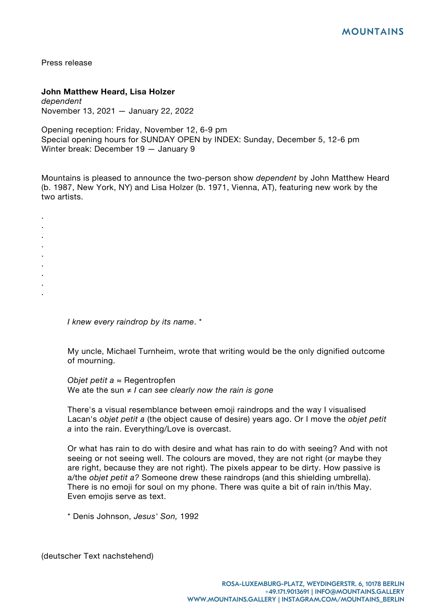Press release

. . . . . . . . .

## **John Matthew Heard, Lisa Holzer**

*dependent* November 13, 2021 — January 22, 2022

Opening reception: Friday, November 12, 6-9 pm Special opening hours for SUNDAY OPEN by INDEX: Sunday, December 5, 12-6 pm Winter break: December 19 — January 9

Mountains is pleased to announce the two-person show *dependent* by John Matthew Heard (b. 1987, New York, NY) and Lisa Holzer (b. 1971, Vienna, AT), featuring new work by the two artists.

*I knew every raindrop by its name*. \*

My uncle, Michael Turnheim, wrote that writing would be the only dignified outcome of mourning.

*Objet petit a* ≈ Regentropfen We ate the sun ≠ *I can see clearly now the rain is gone*

There's a visual resemblance between emoji raindrops and the way I visualised Lacan's *objet petit a* (the object cause of desire) years ago. Or I move the *objet petit a* into the rain. Everything/Love is overcast.

Or what has rain to do with desire and what has rain to do with seeing? And with not seeing or not seeing well. The colours are moved, they are not right (or maybe they are right, because they are not right). The pixels appear to be dirty. How passive is a/the *objet petit a?* Someone drew these raindrops (and this shielding umbrella). There is no emoji for soul on my phone. There was quite a bit of rain in/this May. Even emojis serve as text.

\* Denis Johnson, *Jesus' Son,* 1992

(deutscher Text nachstehend)